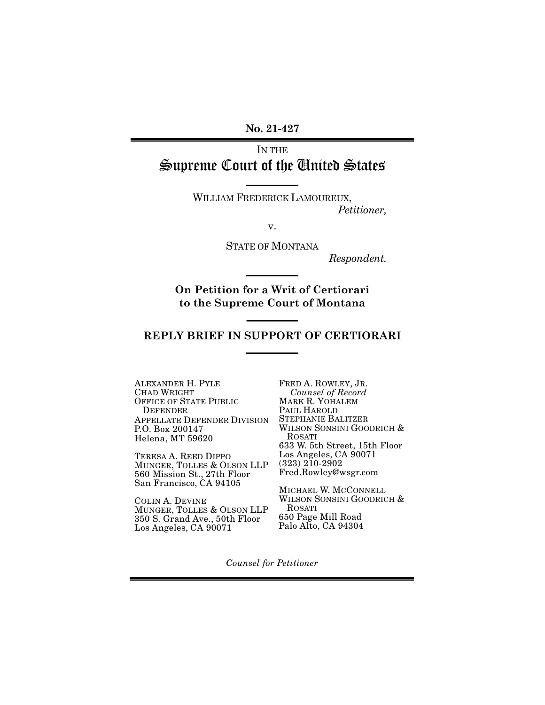**No. 21-427**

## IN THE Supreme Court of the United States

WILLIAM FREDERICK LAMOUREUX, *Petitioner,*

v.

STATE OF MONTANA

*Respondent.*

**On Petition for a Writ of Certiorari to the Supreme Court of Montana**

### **REPLY BRIEF IN SUPPORT OF CERTIORARI**

ALEXANDER H. PYLE CHAD WRIGHT OFFICE OF STATE PUBLIC DEFENDER APPELLATE DEFENDER DIVISION P.O. Box 200147 Helena, MT 59620

TERESA A. REED DIPPO MUNGER, TOLLES & OLSON LLP 560 Mission St., 27th Floor San Francisco, CA 94105

COLIN A. DEVINE MUNGER, TOLLES & OLSON LLP 350 S. Grand Ave., 50th Floor Los Angeles, CA 90071

FRED A. ROWLEY, JR. *Counsel of Record* MARK R. YOHALEM PAUL HAROLD STEPHANIE BALITZER WILSON SONSINI GOODRICH & ROSATI 633 W. 5th Street, 15th Floor Los Angeles, CA 90071  $(323)$   $2\overline{1}0-2902$ Fred.Rowley@wsgr.com

MICHAEL W. MCCONNELL WILSON SONSINI GOODRICH & ROSATI 650 Page Mill Road Palo Alto, CA 94304

*Counsel for Petitioner*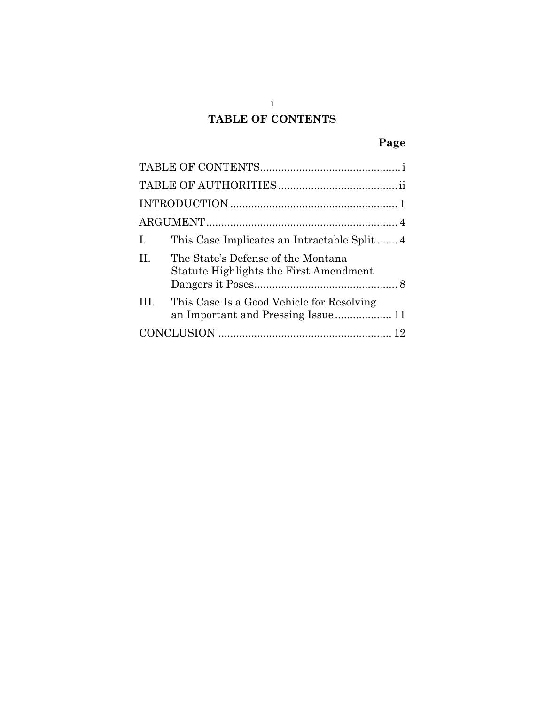# **TABLE OF CONTENTS**

# **Page**

<span id="page-1-0"></span>

| Ι.                                                                                       |
|------------------------------------------------------------------------------------------|
| The State's Defense of the Montana<br>H<br><b>Statute Highlights the First Amendment</b> |
| Ш<br>This Case Is a Good Vehicle for Resolving                                           |
|                                                                                          |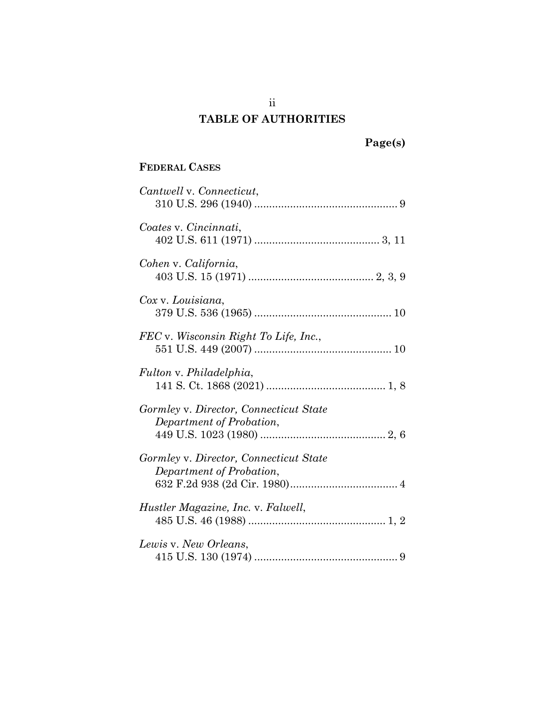# ii **TABLE OF AUTHORITIES**

# **Page(s)**

### <span id="page-2-0"></span>**FEDERAL CASES**

| Cantwell v. Connecticut,                                           |
|--------------------------------------------------------------------|
| Coates v. Cincinnati,                                              |
| Cohen v. California,                                               |
| Cox v. Louisiana,                                                  |
| FEC v. Wisconsin Right To Life, Inc.,                              |
| Fulton v. Philadelphia,                                            |
| Gormley v. Director, Connecticut State<br>Department of Probation, |
| Gormley v. Director, Connecticut State<br>Department of Probation, |
| Hustler Magazine, Inc. v. Falwell,                                 |
| Lewis v. New Orleans,                                              |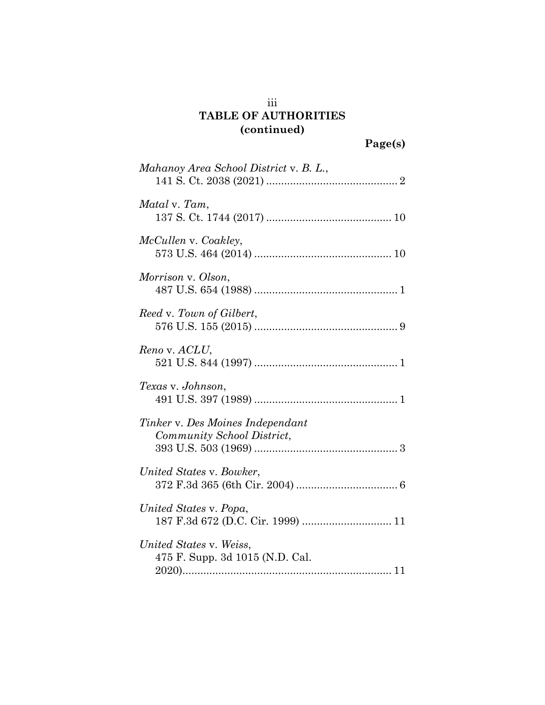## iii **TABLE OF AUTHORITIES (continued)**

| Mahanoy Area School District v. B. L.,                         |  |
|----------------------------------------------------------------|--|
| Matal v. Tam,                                                  |  |
| McCullen v. Coakley,                                           |  |
| Morrison v. Olson,                                             |  |
| Reed v. Town of Gilbert,                                       |  |
| Reno v. ACLU,                                                  |  |
| Texas v. Johnson,                                              |  |
| Tinker v. Des Moines Independant<br>Community School District, |  |
| United States v. Bowker,                                       |  |
| United States v. Popa,                                         |  |
| United States v. Weiss,<br>475 F. Supp. 3d 1015 (N.D. Cal.     |  |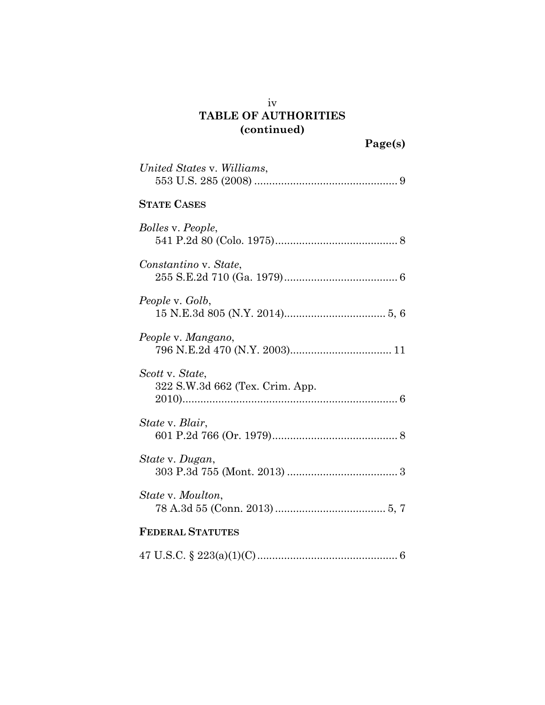## iv **TABLE OF AUTHORITIES (continued)**

| United States v. Williams,                         |
|----------------------------------------------------|
| <b>STATE CASES</b>                                 |
| <i>Bolles v. People,</i>                           |
| Constantino v. State,                              |
| People v. Golb,                                    |
| People v. Mangano,                                 |
| Scott v. State,<br>322 S.W.3d 662 (Tex. Crim. App. |
| State v. Blair,                                    |
| State v. Dugan,                                    |
| State v. Moulton,                                  |
| <b>FEDERAL STATUTES</b>                            |
|                                                    |

47 U.S.C. § 223(a)(1)(C)............................................... 6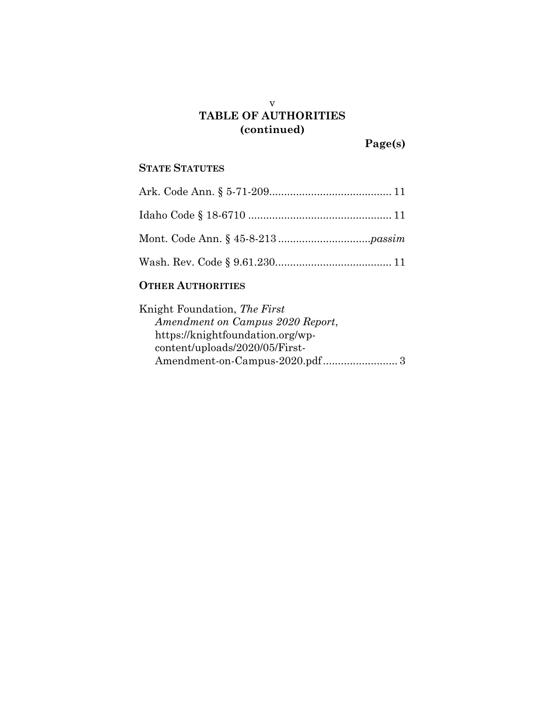### v **TABLE OF AUTHORITIES (continued)**

**Page(s)**

## **STATE STATUTES**

### **OTHER AUTHORITIES**

| Knight Foundation, The First     |
|----------------------------------|
| Amendment on Campus 2020 Report, |
| https://knightfoundation.org/wp- |
| content/uploads/2020/05/First-   |
|                                  |
|                                  |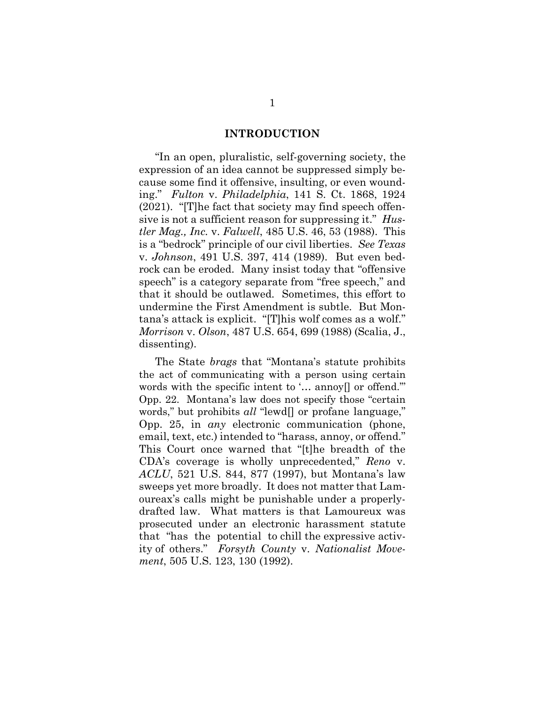#### **INTRODUCTION**

<span id="page-6-0"></span>"In an open, pluralistic, self-governing society, the expression of an idea cannot be suppressed simply because some find it offensive, insulting, or even wounding." *Fulton* v. *Philadelphia*, 141 S. Ct. 1868, 1924 (2021). "[T]he fact that society may find speech offensive is not a sufficient reason for suppressing it." *Hustler Mag., Inc.* v. *Falwell*, 485 U.S. 46, 53 (1988). This is a "bedrock" principle of our civil liberties. *See Texas* v. *Johnson*, 491 U.S. 397, 414 (1989). But even bedrock can be eroded. Many insist today that "offensive speech" is a category separate from "free speech," and that it should be outlawed. Sometimes, this effort to undermine the First Amendment is subtle. But Montana's attack is explicit. "[T]his wolf comes as a wolf." *Morrison* v. *Olson*, 487 U.S. 654, 699 (1988) (Scalia, J., dissenting).

The State *brags* that "Montana's statute prohibits the act of communicating with a person using certain words with the specific intent to '... annoy<sup>[]</sup> or offend." Opp. 22. Montana's law does not specify those "certain words," but prohibits *all* "lewd[] or profane language," Opp. 25, in *any* electronic communication (phone, email, text, etc.) intended to "harass, annoy, or offend." This Court once warned that "[t]he breadth of the CDA's coverage is wholly unprecedented," *Reno* v. *ACLU*, 521 U.S. 844, 877 (1997), but Montana's law sweeps yet more broadly. It does not matter that Lamoureax's calls might be punishable under a properlydrafted law. What matters is that Lamoureux was prosecuted under an electronic harassment statute that "has the potential to chill the expressive activity of others." *Forsyth County* v. *Nationalist Movement*, 505 U.S. 123, 130 (1992).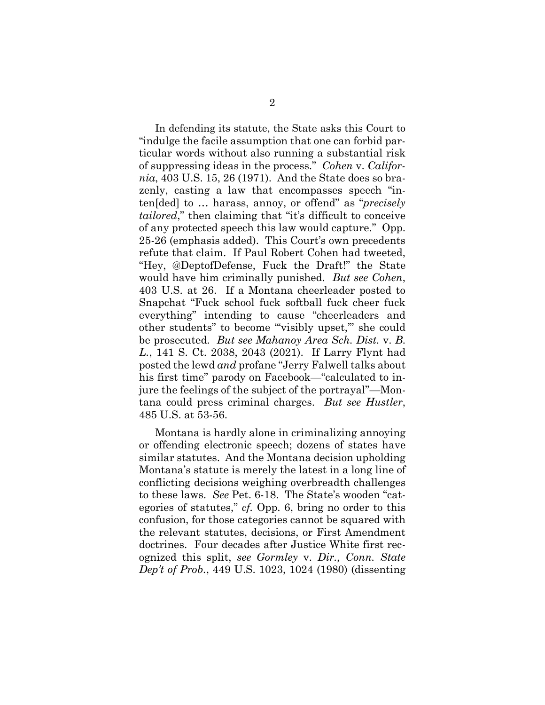In defending its statute, the State asks this Court to "indulge the facile assumption that one can forbid particular words without also running a substantial risk of suppressing ideas in the process." *Cohen* v. *California*, 403 U.S. 15, 26 (1971). And the State does so brazenly, casting a law that encompasses speech "inten[ded] to … harass, annoy, or offend" as "*precisely tailored*," then claiming that "it's difficult to conceive of any protected speech this law would capture." Opp. 25-26 (emphasis added). This Court's own precedents refute that claim. If Paul Robert Cohen had tweeted, "Hey, @DeptofDefense, Fuck the Draft!" the State would have him criminally punished. *But see Cohen*, 403 U.S. at 26. If a Montana cheerleader posted to Snapchat "Fuck school fuck softball fuck cheer fuck everything" intending to cause "cheerleaders and other students" to become "'visibly upset,'" she could be prosecuted. *But see Mahanoy Area Sch. Dist.* v. *B. L.*, 141 S. Ct. 2038, 2043 (2021). If Larry Flynt had posted the lewd *and* profane "Jerry Falwell talks about his first time" parody on Facebook—"calculated to injure the feelings of the subject of the portrayal"—Montana could press criminal charges. *But see Hustler*, 485 U.S. at 53-56.

Montana is hardly alone in criminalizing annoying or offending electronic speech; dozens of states have similar statutes. And the Montana decision upholding Montana's statute is merely the latest in a long line of conflicting decisions weighing overbreadth challenges to these laws. *See* Pet. 6-18. The State's wooden "categories of statutes," *cf.* Opp. 6, bring no order to this confusion, for those categories cannot be squared with the relevant statutes, decisions, or First Amendment doctrines. Four decades after Justice White first recognized this split, *see Gormley* v. *Dir., Conn. State Dep't of Prob.*, 449 U.S. 1023, 1024 (1980) (dissenting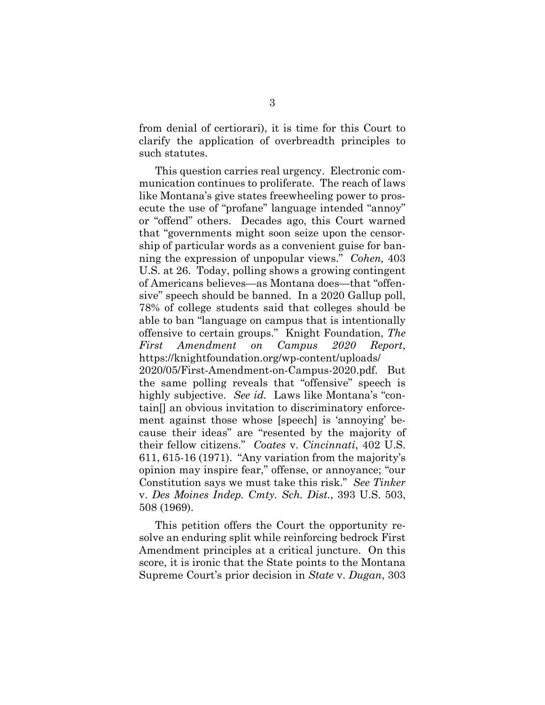from denial of certiorari), it is time for this Court to clarify the application of overbreadth principles to such statutes.

This question carries real urgency. Electronic communication continues to proliferate. The reach of laws like Montana's give states freewheeling power to prosecute the use of "profane" language intended "annoy" or "offend" others. Decades ago, this Court warned that "governments might soon seize upon the censorship of particular words as a convenient guise for banning the expression of unpopular views." *Cohen,* 403 U.S. at 26. Today, polling shows a growing contingent of Americans believes—as Montana does—that "offensive" speech should be banned. In a 2020 Gallup poll, 78% of college students said that colleges should be able to ban "language on campus that is intentionally offensive to certain groups." Knight Foundation, *The First Amendment on Campus 2020 Report*, https://knightfoundation.org/wp-content/uploads/ 2020/05/First-Amendment-on-Campus-2020.pdf. But the same polling reveals that "offensive" speech is highly subjective. *See id.* Laws like Montana's "contain[] an obvious invitation to discriminatory enforcement against those whose [speech] is 'annoying' because their ideas" are "resented by the majority of their fellow citizens." *Coates* v. *Cincinnati*, 402 U.S. 611, 615-16 (1971). "Any variation from the majority's opinion may inspire fear," offense, or annoyance; "our Constitution says we must take this risk." *See Tinker* v. *Des Moines Indep. Cmty. Sch. Dist.*, 393 U.S. 503, 508 (1969).

This petition offers the Court the opportunity resolve an enduring split while reinforcing bedrock First Amendment principles at a critical juncture. On this score, it is ironic that the State points to the Montana Supreme Court's prior decision in *State* v. *Dugan*, 303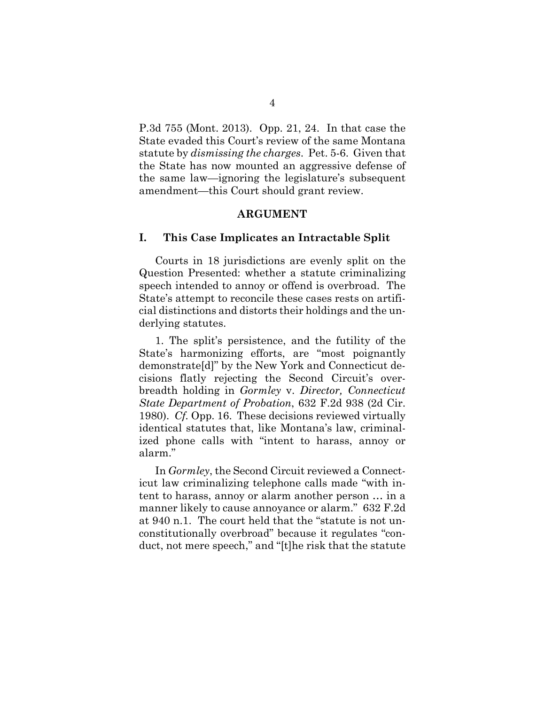P.3d 755 (Mont. 2013). Opp. 21, 24. In that case the State evaded this Court's review of the same Montana statute by *dismissing the charges*. Pet. 5-6. Given that the State has now mounted an aggressive defense of the same law—ignoring the legislature's subsequent amendment—this Court should grant review.

#### **ARGUMENT**

#### <span id="page-9-1"></span><span id="page-9-0"></span>**I. This Case Implicates an Intractable Split**

Courts in 18 jurisdictions are evenly split on the Question Presented: whether a statute criminalizing speech intended to annoy or offend is overbroad. The State's attempt to reconcile these cases rests on artificial distinctions and distorts their holdings and the underlying statutes.

1. The split's persistence, and the futility of the State's harmonizing efforts, are "most poignantly demonstrate[d]" by the New York and Connecticut decisions flatly rejecting the Second Circuit's overbreadth holding in *Gormley* v. *Director, Connecticut State Department of Probation*, 632 F.2d 938 (2d Cir. 1980). *Cf.* Opp. 16. These decisions reviewed virtually identical statutes that, like Montana's law, criminalized phone calls with "intent to harass, annoy or alarm."

In *Gormley*, the Second Circuit reviewed a Connecticut law criminalizing telephone calls made "with intent to harass, annoy or alarm another person … in a manner likely to cause annoyance or alarm." 632 F.2d at 940 n.1. The court held that the "statute is not unconstitutionally overbroad" because it regulates "conduct, not mere speech," and "[t]he risk that the statute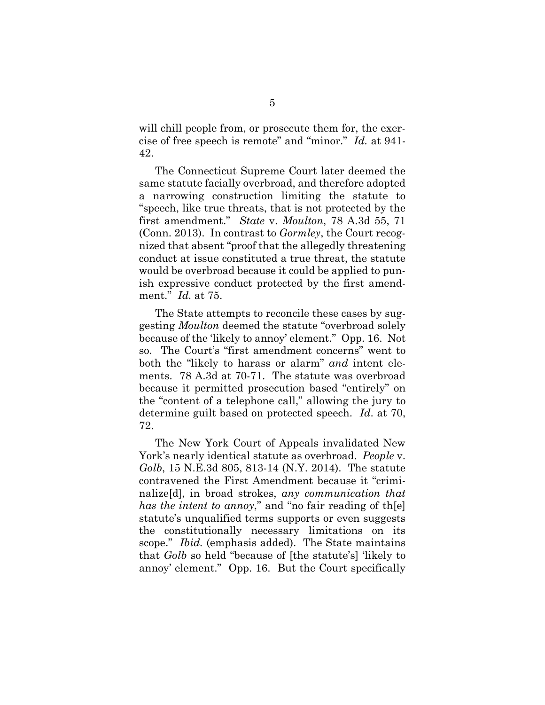will chill people from, or prosecute them for, the exercise of free speech is remote" and "minor." *Id.* at 941- 42.

The Connecticut Supreme Court later deemed the same statute facially overbroad, and therefore adopted a narrowing construction limiting the statute to "speech, like true threats, that is not protected by the first amendment." *State* v. *Moulton*, 78 A.3d 55, 71 (Conn. 2013). In contrast to *Gormley*, the Court recognized that absent "proof that the allegedly threatening conduct at issue constituted a true threat, the statute would be overbroad because it could be applied to punish expressive conduct protected by the first amendment." *Id.* at 75.

The State attempts to reconcile these cases by suggesting *Moulton* deemed the statute "overbroad solely because of the 'likely to annoy' element." Opp. 16. Not so. The Court's "first amendment concerns" went to both the "likely to harass or alarm" *and* intent elements. 78 A.3d at 70-71. The statute was overbroad because it permitted prosecution based "entirely" on the "content of a telephone call," allowing the jury to determine guilt based on protected speech. *Id*. at 70, 72.

The New York Court of Appeals invalidated New York's nearly identical statute as overbroad. *People* v. *Golb*, 15 N.E.3d 805, 813-14 (N.Y. 2014). The statute contravened the First Amendment because it "criminalize[d], in broad strokes, *any communication that has the intent to annoy*," and "no fair reading of th[e] statute's unqualified terms supports or even suggests the constitutionally necessary limitations on its scope." *Ibid.* (emphasis added). The State maintains that *Golb* so held "because of [the statute's] 'likely to annoy' element." Opp. 16. But the Court specifically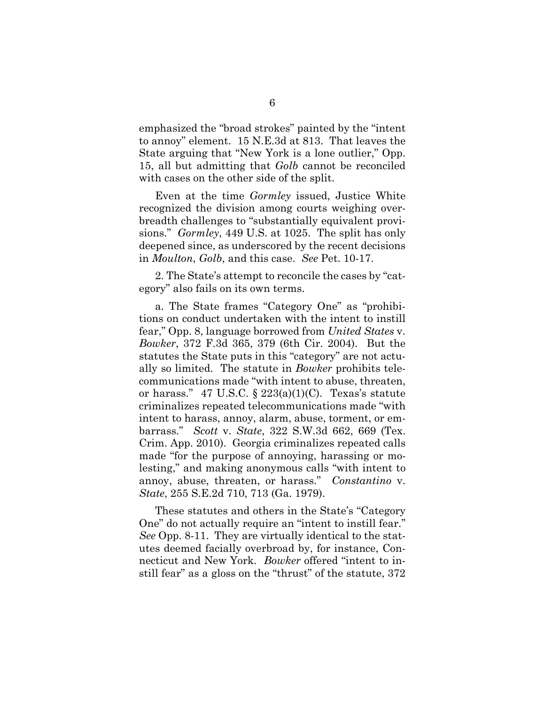emphasized the "broad strokes" painted by the "intent to annoy" element. 15 N.E.3d at 813. That leaves the State arguing that "New York is a lone outlier," Opp. 15, all but admitting that *Golb* cannot be reconciled with cases on the other side of the split.

Even at the time *Gormley* issued, Justice White recognized the division among courts weighing overbreadth challenges to "substantially equivalent provisions." *Gormley*, 449 U.S. at 1025. The split has only deepened since, as underscored by the recent decisions in *Moulton*, *Golb*, and this case. *See* Pet. 10-17.

2. The State's attempt to reconcile the cases by "category" also fails on its own terms.

a. The State frames "Category One" as "prohibitions on conduct undertaken with the intent to instill fear," Opp. 8, language borrowed from *United States* v. *Bowker*, 372 F.3d 365, 379 (6th Cir. 2004). But the statutes the State puts in this "category" are not actually so limited. The statute in *Bowker* prohibits telecommunications made "with intent to abuse, threaten, or harass." 47 U.S.C.  $\S 223(a)(1)(C)$ . Texas's statute criminalizes repeated telecommunications made "with intent to harass, annoy, alarm, abuse, torment, or embarrass." *Scott* v. *State*, 322 S.W.3d 662, 669 (Tex. Crim. App. 2010). Georgia criminalizes repeated calls made "for the purpose of annoying, harassing or molesting," and making anonymous calls "with intent to annoy, abuse, threaten, or harass." *Constantino* v. *State*, 255 S.E.2d 710, 713 (Ga. 1979).

These statutes and others in the State's "Category One" do not actually require an "intent to instill fear." *See* Opp. 8-11. They are virtually identical to the statutes deemed facially overbroad by, for instance, Connecticut and New York. *Bowker* offered "intent to instill fear" as a gloss on the "thrust" of the statute, 372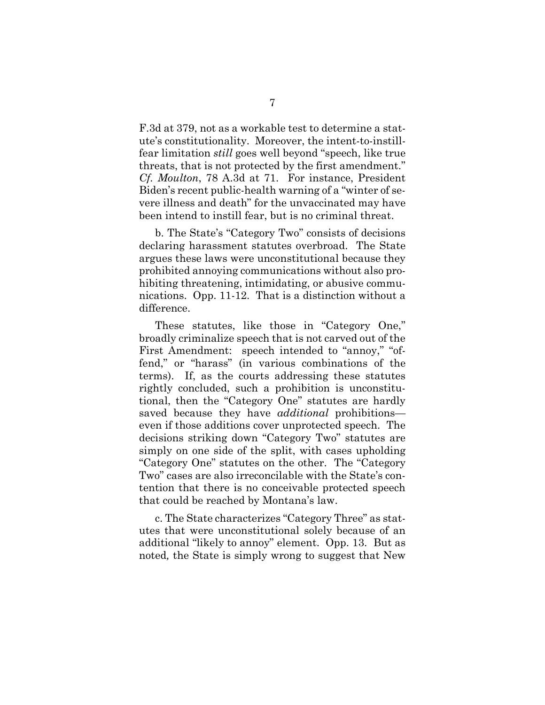F.3d at 379, not as a workable test to determine a statute's constitutionality. Moreover, the intent-to-instillfear limitation *still* goes well beyond "speech, like true threats, that is not protected by the first amendment." *Cf. Moulton*, 78 A.3d at 71. For instance, President Biden's recent public-health warning of a "winter of severe illness and death" for the unvaccinated may have been intend to instill fear, but is no criminal threat.

b. The State's "Category Two" consists of decisions declaring harassment statutes overbroad. The State argues these laws were unconstitutional because they prohibited annoying communications without also prohibiting threatening, intimidating, or abusive communications. Opp. 11-12. That is a distinction without a difference.

These statutes, like those in "Category One," broadly criminalize speech that is not carved out of the First Amendment: speech intended to "annoy," "offend," or "harass" (in various combinations of the terms). If, as the courts addressing these statutes rightly concluded, such a prohibition is unconstitutional, then the "Category One" statutes are hardly saved because they have *additional* prohibitions even if those additions cover unprotected speech. The decisions striking down "Category Two" statutes are simply on one side of the split, with cases upholding "Category One" statutes on the other. The "Category Two" cases are also irreconcilable with the State's contention that there is no conceivable protected speech that could be reached by Montana's law.

c. The State characterizes "Category Three" as statutes that were unconstitutional solely because of an additional "likely to annoy" element. Opp. 13. But as noted*,* the State is simply wrong to suggest that New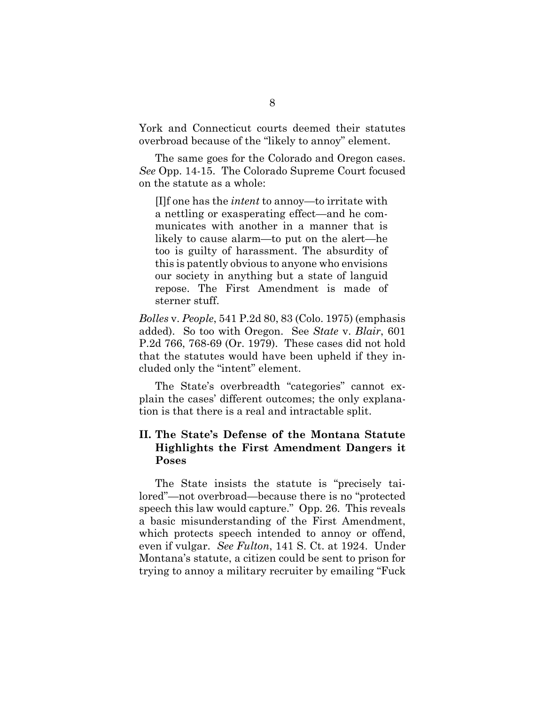York and Connecticut courts deemed their statutes overbroad because of the "likely to annoy" element.

The same goes for the Colorado and Oregon cases. *See* Opp. 14-15. The Colorado Supreme Court focused on the statute as a whole:

[I]f one has the *intent* to annoy—to irritate with a nettling or exasperating effect—and he communicates with another in a manner that is likely to cause alarm—to put on the alert—he too is guilty of harassment. The absurdity of this is patently obvious to anyone who envisions our society in anything but a state of languid repose. The First Amendment is made of sterner stuff.

*Bolles* v. *People*, 541 P.2d 80, 83 (Colo. 1975) (emphasis added). So too with Oregon. See *State* v. *Blair*, 601 P.2d 766, 768-69 (Or. 1979). These cases did not hold that the statutes would have been upheld if they included only the "intent" element.

The State's overbreadth "categories" cannot explain the cases' different outcomes; the only explanation is that there is a real and intractable split.

#### <span id="page-13-0"></span>**II. The State's Defense of the Montana Statute Highlights the First Amendment Dangers it Poses**

The State insists the statute is "precisely tailored"—not overbroad—because there is no "protected speech this law would capture." Opp. 26. This reveals a basic misunderstanding of the First Amendment, which protects speech intended to annoy or offend, even if vulgar. *See Fulton*, 141 S. Ct. at 1924. Under Montana's statute, a citizen could be sent to prison for trying to annoy a military recruiter by emailing "Fuck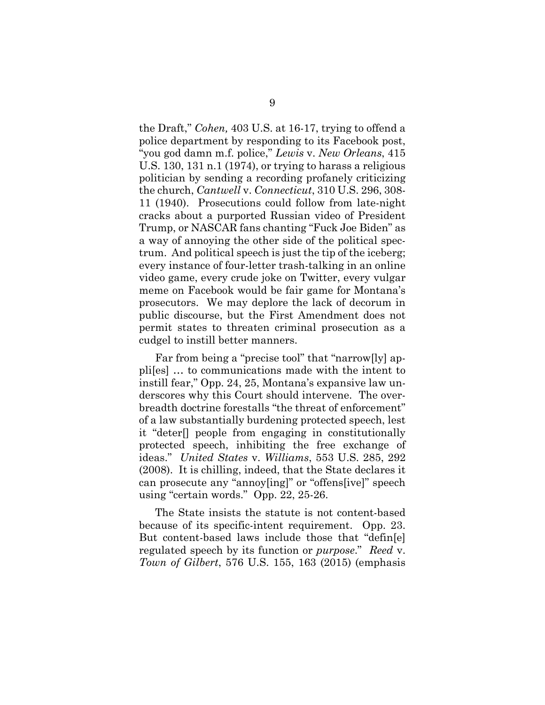the Draft," *Cohen,* 403 U.S. at 16-17, trying to offend a police department by responding to its Facebook post, "you god damn m.f. police," *Lewis* v. *New Orleans*, 415 U.S. 130, 131 n.1 (1974), or trying to harass a religious politician by sending a recording profanely criticizing the church, *Cantwell* v. *Connecticut*, 310 U.S. 296, 308- 11 (1940). Prosecutions could follow from late-night cracks about a purported Russian video of President Trump, or NASCAR fans chanting "Fuck Joe Biden" as a way of annoying the other side of the political spectrum. And political speech is just the tip of the iceberg; every instance of four-letter trash-talking in an online video game, every crude joke on Twitter, every vulgar meme on Facebook would be fair game for Montana's prosecutors. We may deplore the lack of decorum in public discourse, but the First Amendment does not permit states to threaten criminal prosecution as a cudgel to instill better manners.

Far from being a "precise tool" that "narrow[ly] appli[es] … to communications made with the intent to instill fear," Opp. 24, 25, Montana's expansive law underscores why this Court should intervene. The overbreadth doctrine forestalls "the threat of enforcement" of a law substantially burdening protected speech, lest it "deter[] people from engaging in constitutionally protected speech, inhibiting the free exchange of ideas." *United States* v. *Williams*, 553 U.S. 285, 292 (2008). It is chilling, indeed, that the State declares it can prosecute any "annoy[ing]" or "offens[ive]" speech using "certain words." Opp. 22, 25-26.

The State insists the statute is not content-based because of its specific-intent requirement. Opp. 23. But content-based laws include those that "defin[e] regulated speech by its function or *purpose*." *Reed* v. *Town of Gilbert*, 576 U.S. 155, 163 (2015) (emphasis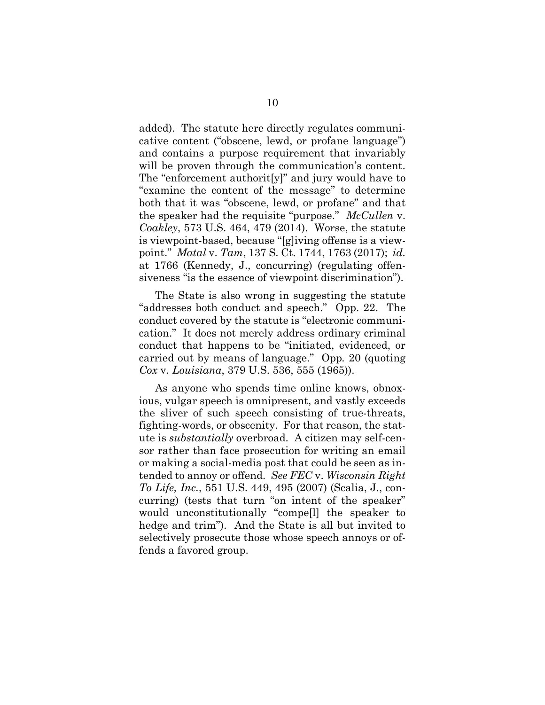added). The statute here directly regulates communicative content ("obscene, lewd, or profane language") and contains a purpose requirement that invariably will be proven through the communication's content. The "enforcement authorit[y]" and jury would have to "examine the content of the message" to determine both that it was "obscene, lewd, or profane" and that the speaker had the requisite "purpose." *McCullen* v. *Coakley*, 573 U.S. 464, 479 (2014). Worse, the statute is viewpoint-based, because "[g]iving offense is a viewpoint." *Matal* v. *Tam*, 137 S. Ct. 1744, 1763 (2017); *id.* at 1766 (Kennedy, J., concurring) (regulating offensiveness "is the essence of viewpoint discrimination").

The State is also wrong in suggesting the statute "addresses both conduct and speech." Opp. 22. The conduct covered by the statute is "electronic communication." It does not merely address ordinary criminal conduct that happens to be "initiated, evidenced, or carried out by means of language." Opp*.* 20 (quoting *Cox* v. *Louisiana*, 379 U.S. 536, 555 (1965)).

As anyone who spends time online knows, obnoxious, vulgar speech is omnipresent, and vastly exceeds the sliver of such speech consisting of true-threats, fighting-words, or obscenity. For that reason, the statute is *substantially* overbroad. A citizen may self-censor rather than face prosecution for writing an email or making a social-media post that could be seen as intended to annoy or offend. *See FEC* v. *Wisconsin Right To Life, Inc.*, 551 U.S. 449, 495 (2007) (Scalia, J., concurring) (tests that turn "on intent of the speaker" would unconstitutionally "compe[l] the speaker to hedge and trim"). And the State is all but invited to selectively prosecute those whose speech annoys or offends a favored group.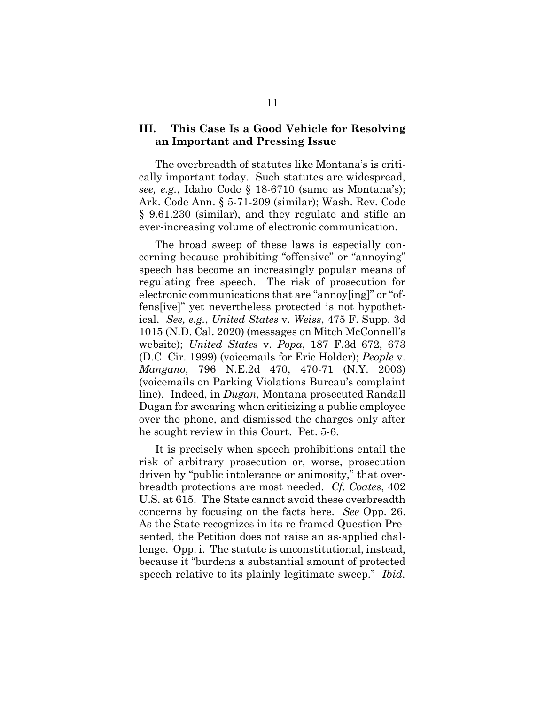#### <span id="page-16-0"></span>**III. This Case Is a Good Vehicle for Resolving an Important and Pressing Issue**

The overbreadth of statutes like Montana's is critically important today. Such statutes are widespread, *see, e.g.*, Idaho Code § 18-6710 (same as Montana's); Ark. Code Ann. § 5-71-209 (similar); Wash. Rev. Code § 9.61.230 (similar), and they regulate and stifle an ever-increasing volume of electronic communication.

The broad sweep of these laws is especially concerning because prohibiting "offensive" or "annoying" speech has become an increasingly popular means of regulating free speech. The risk of prosecution for electronic communications that are "annoy[ing]" or "offens[ive]" yet nevertheless protected is not hypothetical. *See, e.g.*, *United States* v. *Weiss*, 475 F. Supp. 3d 1015 (N.D. Cal. 2020) (messages on Mitch McConnell's website); *United States* v. *Popa*, 187 F.3d 672, 673 (D.C. Cir. 1999) (voicemails for Eric Holder); *People* v. *Mangano*, 796 N.E.2d 470, 470-71 (N.Y. 2003) (voicemails on Parking Violations Bureau's complaint line). Indeed, in *Dugan*, Montana prosecuted Randall Dugan for swearing when criticizing a public employee over the phone, and dismissed the charges only after he sought review in this Court. Pet. 5-6.

It is precisely when speech prohibitions entail the risk of arbitrary prosecution or, worse, prosecution driven by "public intolerance or animosity," that overbreadth protections are most needed. *Cf. Coates*, 402 U.S. at 615. The State cannot avoid these overbreadth concerns by focusing on the facts here. *See* Opp. 26. As the State recognizes in its re-framed Question Presented, the Petition does not raise an as-applied challenge. Opp. i. The statute is unconstitutional, instead, because it "burdens a substantial amount of protected speech relative to its plainly legitimate sweep." *Ibid.*